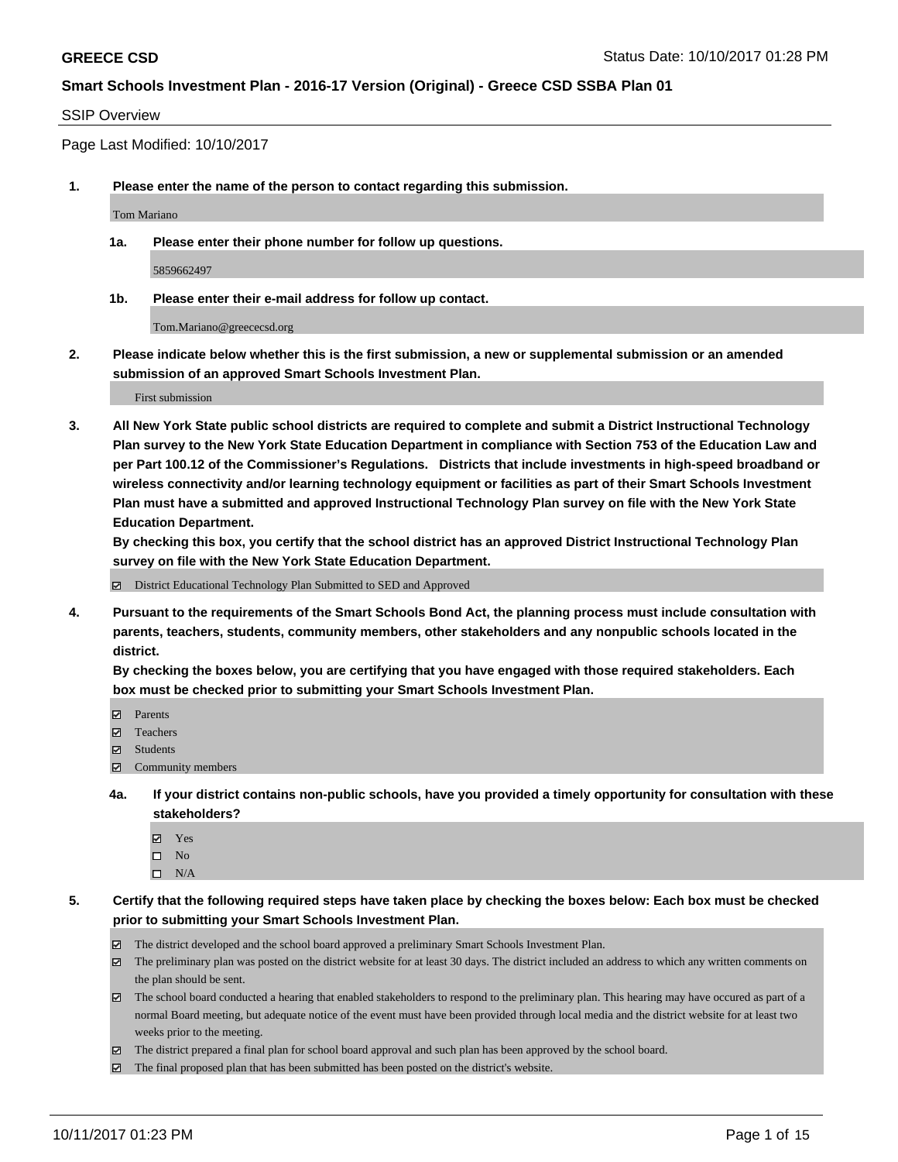#### SSIP Overview

Page Last Modified: 10/10/2017

**1. Please enter the name of the person to contact regarding this submission.**

Tom Mariano

**1a. Please enter their phone number for follow up questions.**

5859662497

**1b. Please enter their e-mail address for follow up contact.**

Tom.Mariano@greececsd.org

**2. Please indicate below whether this is the first submission, a new or supplemental submission or an amended submission of an approved Smart Schools Investment Plan.**

First submission

**3. All New York State public school districts are required to complete and submit a District Instructional Technology Plan survey to the New York State Education Department in compliance with Section 753 of the Education Law and per Part 100.12 of the Commissioner's Regulations. Districts that include investments in high-speed broadband or wireless connectivity and/or learning technology equipment or facilities as part of their Smart Schools Investment Plan must have a submitted and approved Instructional Technology Plan survey on file with the New York State Education Department.** 

**By checking this box, you certify that the school district has an approved District Instructional Technology Plan survey on file with the New York State Education Department.**

District Educational Technology Plan Submitted to SED and Approved

**4. Pursuant to the requirements of the Smart Schools Bond Act, the planning process must include consultation with parents, teachers, students, community members, other stakeholders and any nonpublic schools located in the district.** 

**By checking the boxes below, you are certifying that you have engaged with those required stakeholders. Each box must be checked prior to submitting your Smart Schools Investment Plan.**

- **マ** Parents
- Teachers
- Students
- Community members
- **4a. If your district contains non-public schools, have you provided a timely opportunity for consultation with these stakeholders?**
	- **Ø** Yes
	- $\square$  No
	- $\square$  N/A

**5. Certify that the following required steps have taken place by checking the boxes below: Each box must be checked prior to submitting your Smart Schools Investment Plan.**

- The district developed and the school board approved a preliminary Smart Schools Investment Plan.
- The preliminary plan was posted on the district website for at least 30 days. The district included an address to which any written comments on the plan should be sent.
- The school board conducted a hearing that enabled stakeholders to respond to the preliminary plan. This hearing may have occured as part of a normal Board meeting, but adequate notice of the event must have been provided through local media and the district website for at least two weeks prior to the meeting.
- The district prepared a final plan for school board approval and such plan has been approved by the school board.
- $\boxtimes$  The final proposed plan that has been submitted has been posted on the district's website.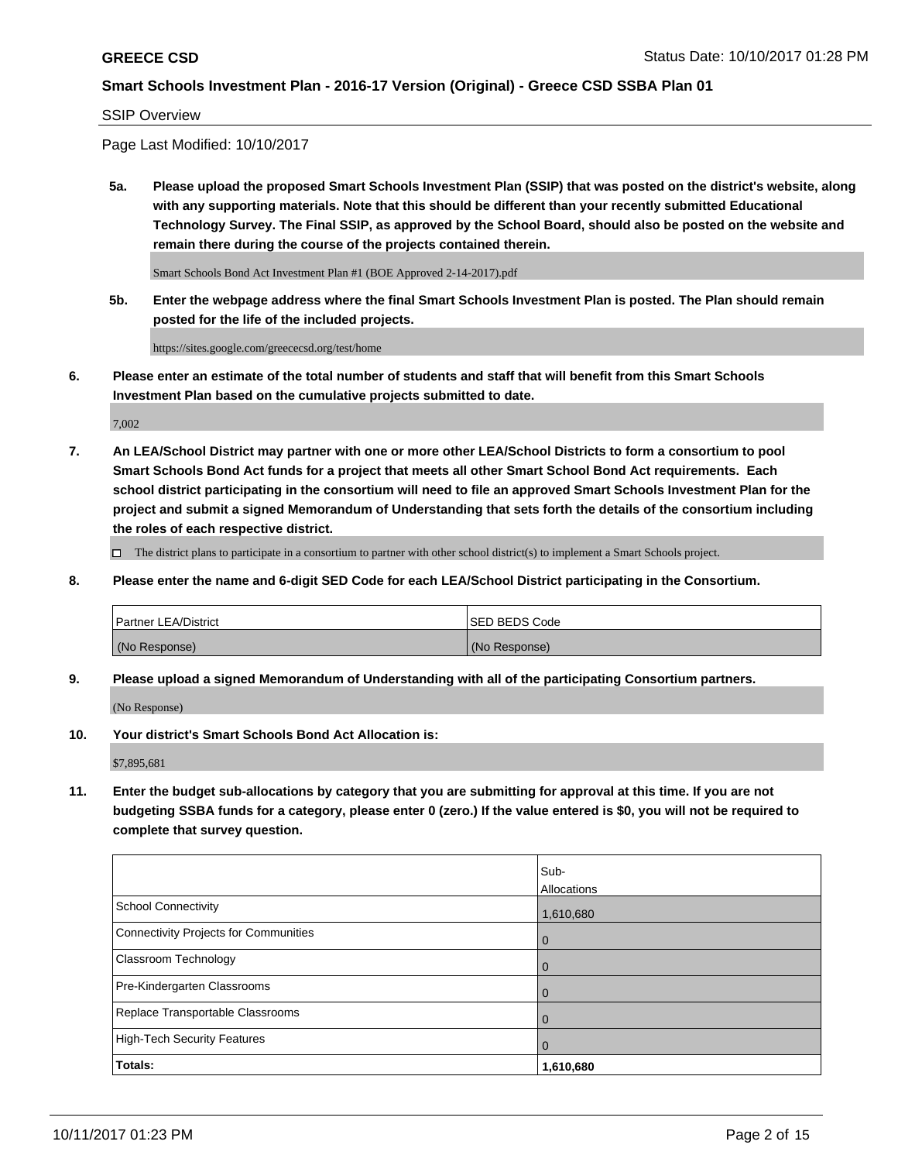#### SSIP Overview

Page Last Modified: 10/10/2017

**5a. Please upload the proposed Smart Schools Investment Plan (SSIP) that was posted on the district's website, along with any supporting materials. Note that this should be different than your recently submitted Educational Technology Survey. The Final SSIP, as approved by the School Board, should also be posted on the website and remain there during the course of the projects contained therein.**

Smart Schools Bond Act Investment Plan #1 (BOE Approved 2-14-2017).pdf

**5b. Enter the webpage address where the final Smart Schools Investment Plan is posted. The Plan should remain posted for the life of the included projects.**

https://sites.google.com/greececsd.org/test/home

**6. Please enter an estimate of the total number of students and staff that will benefit from this Smart Schools Investment Plan based on the cumulative projects submitted to date.**

7,002

**7. An LEA/School District may partner with one or more other LEA/School Districts to form a consortium to pool Smart Schools Bond Act funds for a project that meets all other Smart School Bond Act requirements. Each school district participating in the consortium will need to file an approved Smart Schools Investment Plan for the project and submit a signed Memorandum of Understanding that sets forth the details of the consortium including the roles of each respective district.**

 $\Box$  The district plans to participate in a consortium to partner with other school district(s) to implement a Smart Schools project.

**8. Please enter the name and 6-digit SED Code for each LEA/School District participating in the Consortium.**

| <b>Partner LEA/District</b> | <b>ISED BEDS Code</b> |
|-----------------------------|-----------------------|
| (No Response)               | (No Response)         |

**9. Please upload a signed Memorandum of Understanding with all of the participating Consortium partners.**

(No Response)

**10. Your district's Smart Schools Bond Act Allocation is:**

\$7,895,681

**11. Enter the budget sub-allocations by category that you are submitting for approval at this time. If you are not budgeting SSBA funds for a category, please enter 0 (zero.) If the value entered is \$0, you will not be required to complete that survey question.**

|                                       | Sub-        |
|---------------------------------------|-------------|
|                                       | Allocations |
| <b>School Connectivity</b>            | 1,610,680   |
| Connectivity Projects for Communities | 0           |
| <b>Classroom Technology</b>           | 0           |
| Pre-Kindergarten Classrooms           | 0           |
| Replace Transportable Classrooms      | 0           |
| <b>High-Tech Security Features</b>    | 0           |
| Totals:                               | 1,610,680   |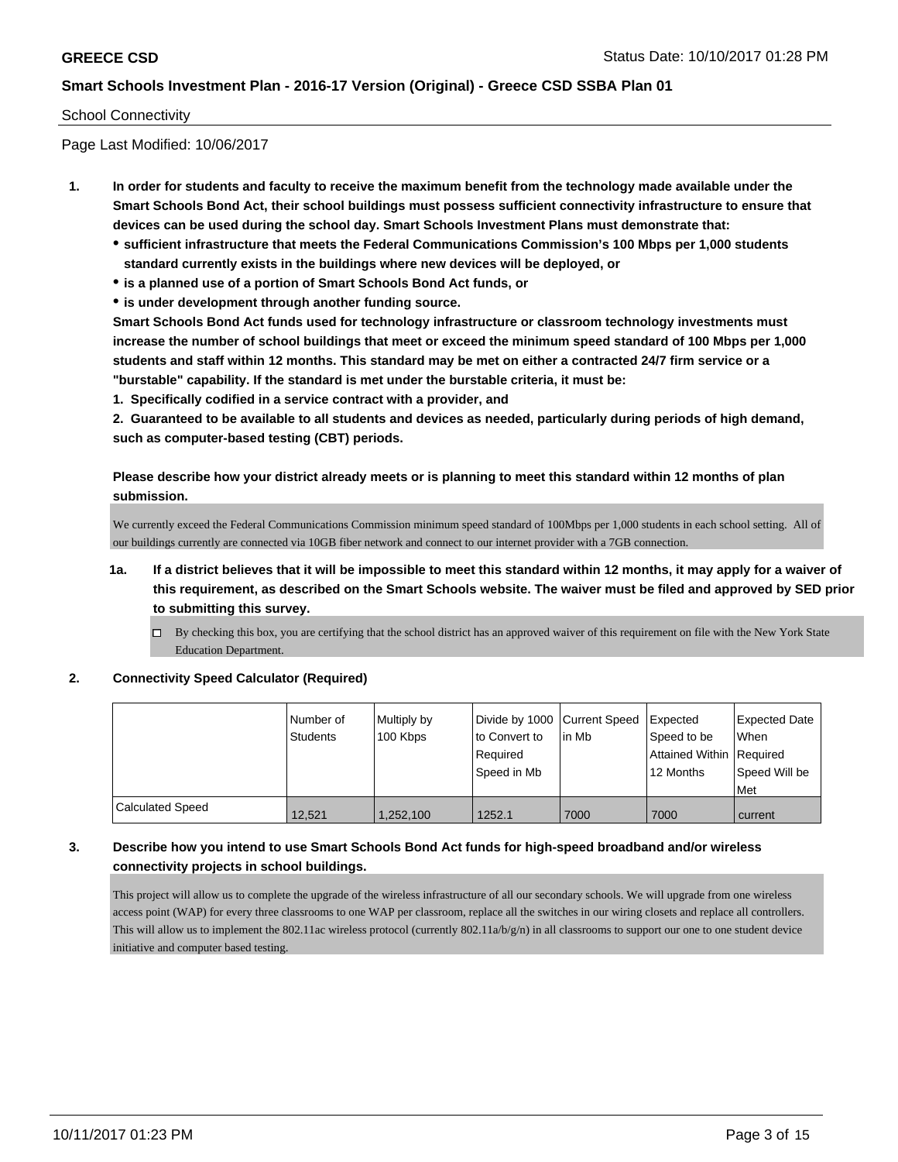#### School Connectivity

Page Last Modified: 10/06/2017

- **1. In order for students and faculty to receive the maximum benefit from the technology made available under the Smart Schools Bond Act, their school buildings must possess sufficient connectivity infrastructure to ensure that devices can be used during the school day. Smart Schools Investment Plans must demonstrate that:**
	- **sufficient infrastructure that meets the Federal Communications Commission's 100 Mbps per 1,000 students standard currently exists in the buildings where new devices will be deployed, or**
	- **is a planned use of a portion of Smart Schools Bond Act funds, or**
	- **is under development through another funding source.**

**Smart Schools Bond Act funds used for technology infrastructure or classroom technology investments must increase the number of school buildings that meet or exceed the minimum speed standard of 100 Mbps per 1,000 students and staff within 12 months. This standard may be met on either a contracted 24/7 firm service or a "burstable" capability. If the standard is met under the burstable criteria, it must be:**

**1. Specifically codified in a service contract with a provider, and**

**2. Guaranteed to be available to all students and devices as needed, particularly during periods of high demand, such as computer-based testing (CBT) periods.**

**Please describe how your district already meets or is planning to meet this standard within 12 months of plan submission.**

We currently exceed the Federal Communications Commission minimum speed standard of 100Mbps per 1,000 students in each school setting. All of our buildings currently are connected via 10GB fiber network and connect to our internet provider with a 7GB connection.

- **1a. If a district believes that it will be impossible to meet this standard within 12 months, it may apply for a waiver of this requirement, as described on the Smart Schools website. The waiver must be filed and approved by SED prior to submitting this survey.**
	- By checking this box, you are certifying that the school district has an approved waiver of this requirement on file with the New York State Education Department.

#### **2. Connectivity Speed Calculator (Required)**

|                         | Number of<br><b>Students</b> | Multiply by<br>100 Kbps | Divide by 1000 Current Speed<br>to Convert to<br>Required<br>Speed in Mb | in Mb | Expected<br>Speed to be<br>Attained Within   Required<br>12 Months | <b>Expected Date</b><br><b>When</b><br>Speed Will be |
|-------------------------|------------------------------|-------------------------|--------------------------------------------------------------------------|-------|--------------------------------------------------------------------|------------------------------------------------------|
|                         |                              |                         |                                                                          |       |                                                                    | Met                                                  |
| <b>Calculated Speed</b> | 12,521                       | 1,252,100               | 1252.1                                                                   | 7000  | 7000                                                               | current                                              |

# **3. Describe how you intend to use Smart Schools Bond Act funds for high-speed broadband and/or wireless connectivity projects in school buildings.**

This project will allow us to complete the upgrade of the wireless infrastructure of all our secondary schools. We will upgrade from one wireless access point (WAP) for every three classrooms to one WAP per classroom, replace all the switches in our wiring closets and replace all controllers. This will allow us to implement the 802.11ac wireless protocol (currently  $802.11a/b/g/n$ ) in all classrooms to support our one to one student device initiative and computer based testing.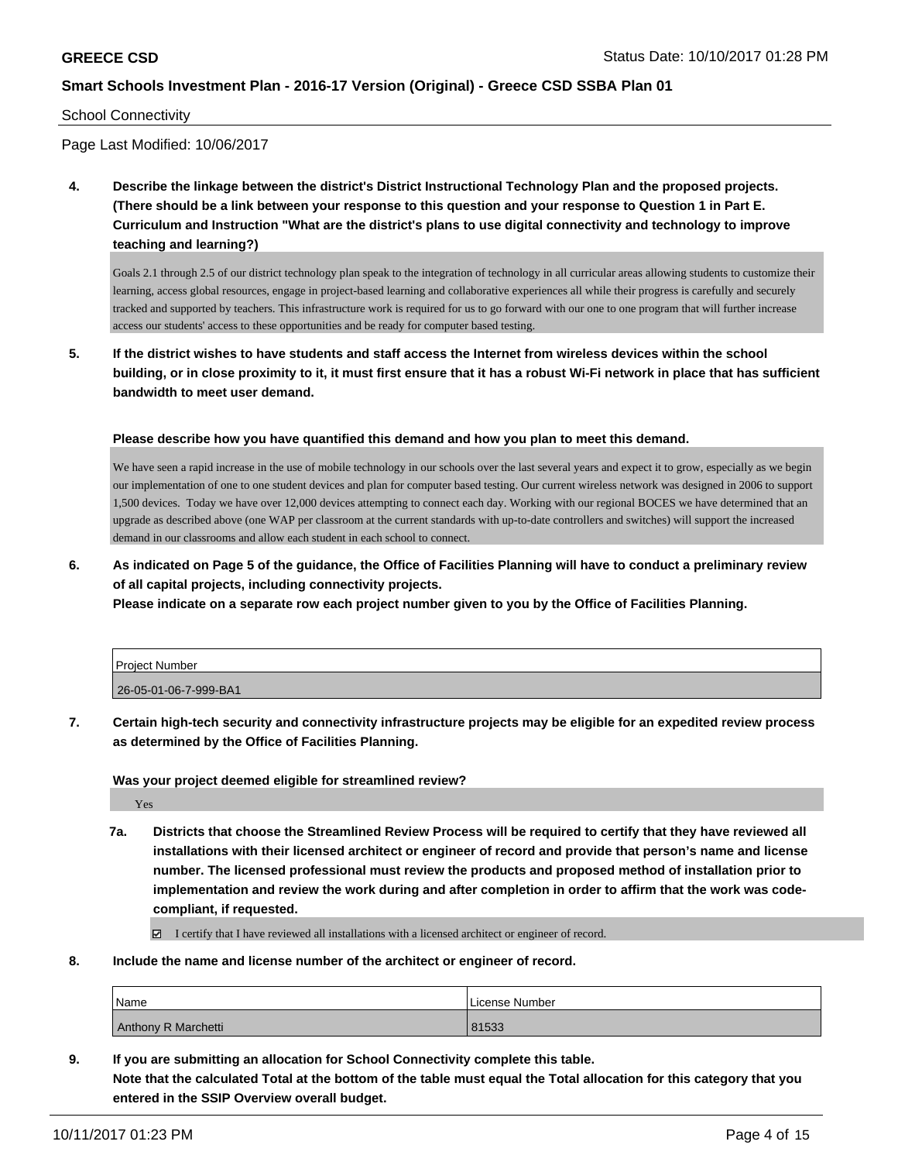#### School Connectivity

Page Last Modified: 10/06/2017

**4. Describe the linkage between the district's District Instructional Technology Plan and the proposed projects. (There should be a link between your response to this question and your response to Question 1 in Part E. Curriculum and Instruction "What are the district's plans to use digital connectivity and technology to improve teaching and learning?)**

Goals 2.1 through 2.5 of our district technology plan speak to the integration of technology in all curricular areas allowing students to customize their learning, access global resources, engage in project-based learning and collaborative experiences all while their progress is carefully and securely tracked and supported by teachers. This infrastructure work is required for us to go forward with our one to one program that will further increase access our students' access to these opportunities and be ready for computer based testing.

**5. If the district wishes to have students and staff access the Internet from wireless devices within the school building, or in close proximity to it, it must first ensure that it has a robust Wi-Fi network in place that has sufficient bandwidth to meet user demand.**

**Please describe how you have quantified this demand and how you plan to meet this demand.**

We have seen a rapid increase in the use of mobile technology in our schools over the last several years and expect it to grow, especially as we begin our implementation of one to one student devices and plan for computer based testing. Our current wireless network was designed in 2006 to support 1,500 devices. Today we have over 12,000 devices attempting to connect each day. Working with our regional BOCES we have determined that an upgrade as described above (one WAP per classroom at the current standards with up-to-date controllers and switches) will support the increased demand in our classrooms and allow each student in each school to connect.

**6. As indicated on Page 5 of the guidance, the Office of Facilities Planning will have to conduct a preliminary review of all capital projects, including connectivity projects.**

**Please indicate on a separate row each project number given to you by the Office of Facilities Planning.**

| Project Number        |  |
|-----------------------|--|
| 26-05-01-06-7-999-BA1 |  |

**7. Certain high-tech security and connectivity infrastructure projects may be eligible for an expedited review process as determined by the Office of Facilities Planning.**

**Was your project deemed eligible for streamlined review?**

Yes

**7a. Districts that choose the Streamlined Review Process will be required to certify that they have reviewed all installations with their licensed architect or engineer of record and provide that person's name and license number. The licensed professional must review the products and proposed method of installation prior to implementation and review the work during and after completion in order to affirm that the work was codecompliant, if requested.**

I certify that I have reviewed all installations with a licensed architect or engineer of record.

**8. Include the name and license number of the architect or engineer of record.**

| <i>Name</i>         | License Number |
|---------------------|----------------|
| Anthony R Marchetti | 81533          |

**9. If you are submitting an allocation for School Connectivity complete this table. Note that the calculated Total at the bottom of the table must equal the Total allocation for this category that you entered in the SSIP Overview overall budget.**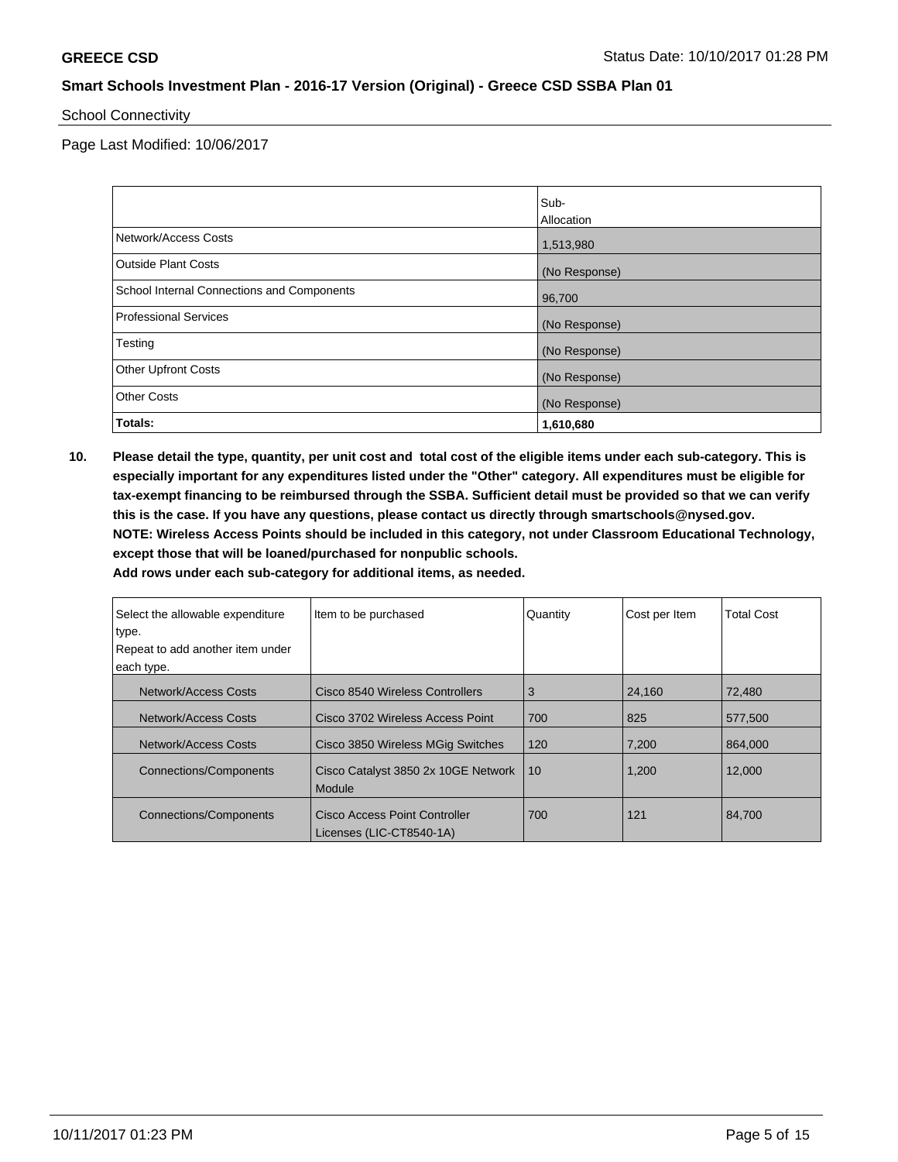#### School Connectivity

Page Last Modified: 10/06/2017

|                                            | Sub-          |
|--------------------------------------------|---------------|
|                                            | Allocation    |
| Network/Access Costs                       | 1,513,980     |
| <b>Outside Plant Costs</b>                 | (No Response) |
| School Internal Connections and Components | 96,700        |
| <b>Professional Services</b>               | (No Response) |
| Testing                                    | (No Response) |
| <b>Other Upfront Costs</b>                 | (No Response) |
| <b>Other Costs</b>                         | (No Response) |
| Totals:                                    | 1,610,680     |

**10. Please detail the type, quantity, per unit cost and total cost of the eligible items under each sub-category. This is especially important for any expenditures listed under the "Other" category. All expenditures must be eligible for tax-exempt financing to be reimbursed through the SSBA. Sufficient detail must be provided so that we can verify this is the case. If you have any questions, please contact us directly through smartschools@nysed.gov. NOTE: Wireless Access Points should be included in this category, not under Classroom Educational Technology, except those that will be loaned/purchased for nonpublic schools.**

| Select the allowable expenditure | Item to be purchased<br>Quantity                          |     | Cost per Item | <b>Total Cost</b> |
|----------------------------------|-----------------------------------------------------------|-----|---------------|-------------------|
| type.                            |                                                           |     |               |                   |
| Repeat to add another item under |                                                           |     |               |                   |
| each type.                       |                                                           |     |               |                   |
| Network/Access Costs             | Cisco 8540 Wireless Controllers                           | 3   | 24.160        | 72.480            |
| Network/Access Costs             | Cisco 3702 Wireless Access Point                          | 700 | 825           | 577.500           |
| Network/Access Costs             | Cisco 3850 Wireless MGig Switches                         | 120 | 7,200         | 864,000           |
| <b>Connections/Components</b>    | Cisco Catalyst 3850 2x 10GE Network<br>Module             | 10  | 1,200         | 12,000            |
| Connections/Components           | Cisco Access Point Controller<br>Licenses (LIC-CT8540-1A) | 700 | 121           | 84.700            |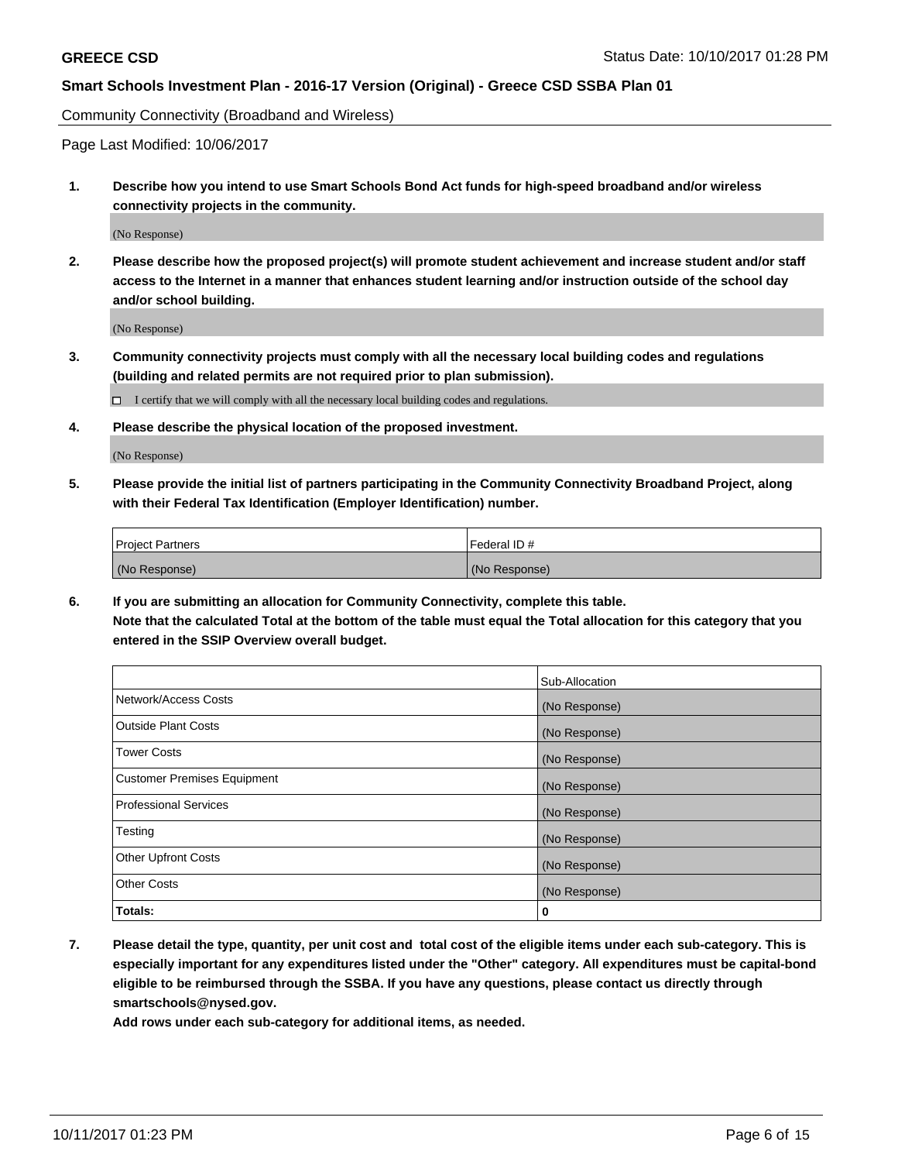Community Connectivity (Broadband and Wireless)

Page Last Modified: 10/06/2017

**1. Describe how you intend to use Smart Schools Bond Act funds for high-speed broadband and/or wireless connectivity projects in the community.**

(No Response)

**2. Please describe how the proposed project(s) will promote student achievement and increase student and/or staff access to the Internet in a manner that enhances student learning and/or instruction outside of the school day and/or school building.**

(No Response)

**3. Community connectivity projects must comply with all the necessary local building codes and regulations (building and related permits are not required prior to plan submission).**

 $\Box$  I certify that we will comply with all the necessary local building codes and regulations.

**4. Please describe the physical location of the proposed investment.**

(No Response)

**5. Please provide the initial list of partners participating in the Community Connectivity Broadband Project, along with their Federal Tax Identification (Employer Identification) number.**

| <b>Project Partners</b> | l Federal ID # |
|-------------------------|----------------|
| (No Response)           | (No Response)  |

**6. If you are submitting an allocation for Community Connectivity, complete this table. Note that the calculated Total at the bottom of the table must equal the Total allocation for this category that you entered in the SSIP Overview overall budget.**

|                                    | Sub-Allocation |
|------------------------------------|----------------|
| Network/Access Costs               | (No Response)  |
| <b>Outside Plant Costs</b>         | (No Response)  |
| <b>Tower Costs</b>                 | (No Response)  |
| <b>Customer Premises Equipment</b> | (No Response)  |
| <b>Professional Services</b>       | (No Response)  |
| Testing                            | (No Response)  |
| <b>Other Upfront Costs</b>         | (No Response)  |
| <b>Other Costs</b>                 | (No Response)  |
| Totals:                            | 0              |

**7. Please detail the type, quantity, per unit cost and total cost of the eligible items under each sub-category. This is especially important for any expenditures listed under the "Other" category. All expenditures must be capital-bond eligible to be reimbursed through the SSBA. If you have any questions, please contact us directly through smartschools@nysed.gov.**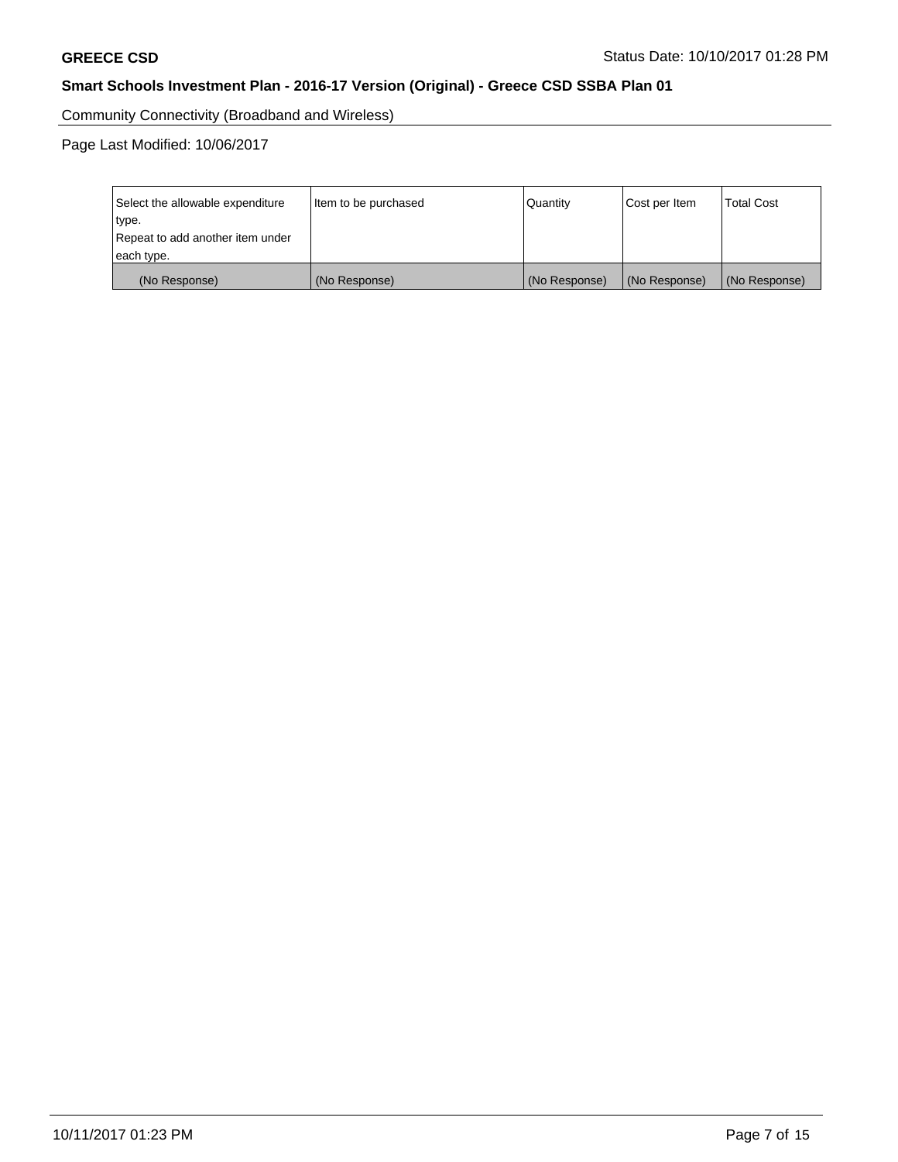Community Connectivity (Broadband and Wireless)

Page Last Modified: 10/06/2017

| Select the allowable expenditure | Item to be purchased | Quantity      | Cost per Item | <b>Total Cost</b> |
|----------------------------------|----------------------|---------------|---------------|-------------------|
| type.                            |                      |               |               |                   |
| Repeat to add another item under |                      |               |               |                   |
| each type.                       |                      |               |               |                   |
| (No Response)                    | (No Response)        | (No Response) | (No Response) | (No Response)     |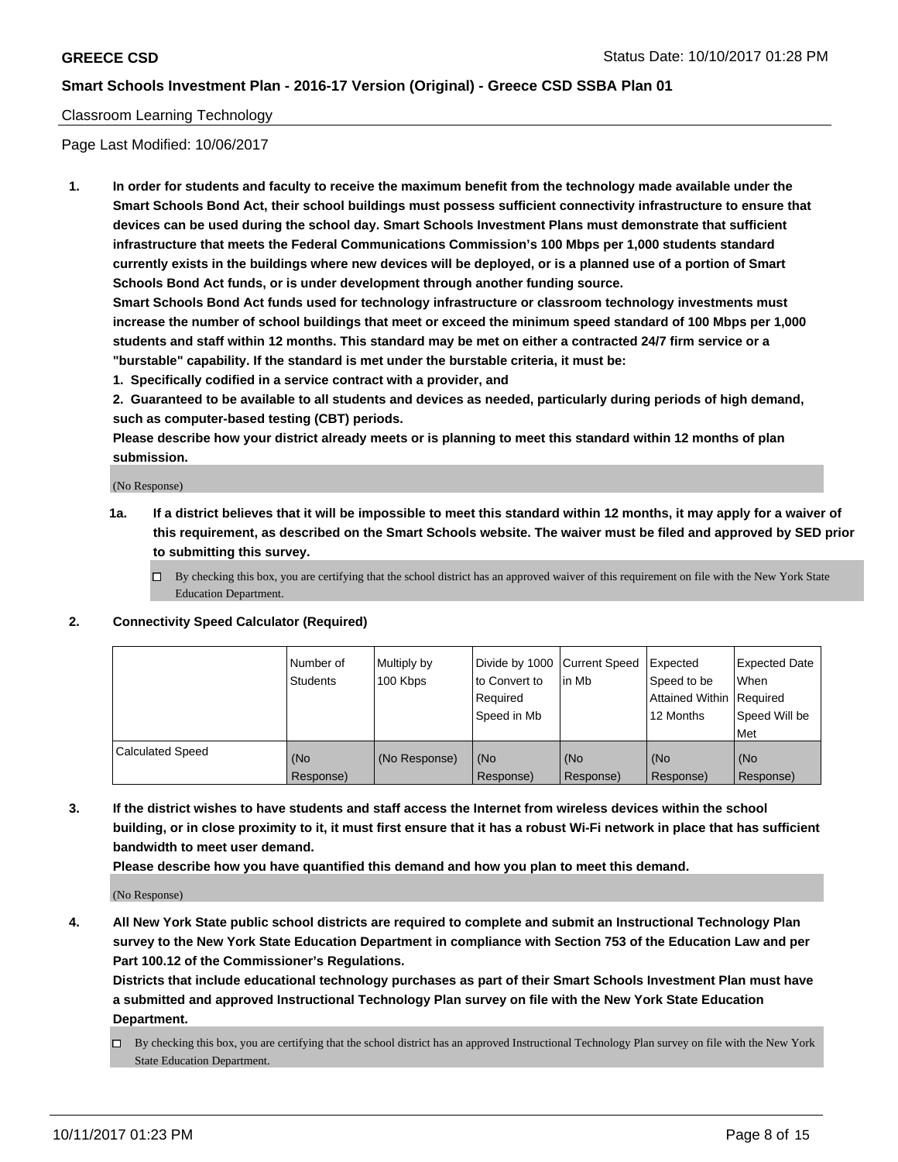#### Classroom Learning Technology

Page Last Modified: 10/06/2017

**1. In order for students and faculty to receive the maximum benefit from the technology made available under the Smart Schools Bond Act, their school buildings must possess sufficient connectivity infrastructure to ensure that devices can be used during the school day. Smart Schools Investment Plans must demonstrate that sufficient infrastructure that meets the Federal Communications Commission's 100 Mbps per 1,000 students standard currently exists in the buildings where new devices will be deployed, or is a planned use of a portion of Smart Schools Bond Act funds, or is under development through another funding source.**

**Smart Schools Bond Act funds used for technology infrastructure or classroom technology investments must increase the number of school buildings that meet or exceed the minimum speed standard of 100 Mbps per 1,000 students and staff within 12 months. This standard may be met on either a contracted 24/7 firm service or a "burstable" capability. If the standard is met under the burstable criteria, it must be:**

**1. Specifically codified in a service contract with a provider, and**

**2. Guaranteed to be available to all students and devices as needed, particularly during periods of high demand, such as computer-based testing (CBT) periods.**

**Please describe how your district already meets or is planning to meet this standard within 12 months of plan submission.**

(No Response)

- **1a. If a district believes that it will be impossible to meet this standard within 12 months, it may apply for a waiver of this requirement, as described on the Smart Schools website. The waiver must be filed and approved by SED prior to submitting this survey.**
	- $\Box$  By checking this box, you are certifying that the school district has an approved waiver of this requirement on file with the New York State Education Department.
- **2. Connectivity Speed Calculator (Required)**

|                         | Number of<br><b>Students</b> | Multiply by<br>100 Kbps | Divide by 1000 Current Speed<br>to Convert to<br>Reauired<br>Speed in Mb | l in Mb          | Expected<br>Speed to be<br>Attained Within   Required<br>12 Months | Expected Date<br>When<br>Speed Will be<br>Met |
|-------------------------|------------------------------|-------------------------|--------------------------------------------------------------------------|------------------|--------------------------------------------------------------------|-----------------------------------------------|
| <b>Calculated Speed</b> | (No<br>Response)             | (No Response)           | (No<br>Response)                                                         | (No<br>Response) | (No<br>Response)                                                   | (No<br>Response)                              |

**3. If the district wishes to have students and staff access the Internet from wireless devices within the school building, or in close proximity to it, it must first ensure that it has a robust Wi-Fi network in place that has sufficient bandwidth to meet user demand.**

**Please describe how you have quantified this demand and how you plan to meet this demand.**

(No Response)

**4. All New York State public school districts are required to complete and submit an Instructional Technology Plan survey to the New York State Education Department in compliance with Section 753 of the Education Law and per Part 100.12 of the Commissioner's Regulations.**

**Districts that include educational technology purchases as part of their Smart Schools Investment Plan must have a submitted and approved Instructional Technology Plan survey on file with the New York State Education Department.**

By checking this box, you are certifying that the school district has an approved Instructional Technology Plan survey on file with the New York State Education Department.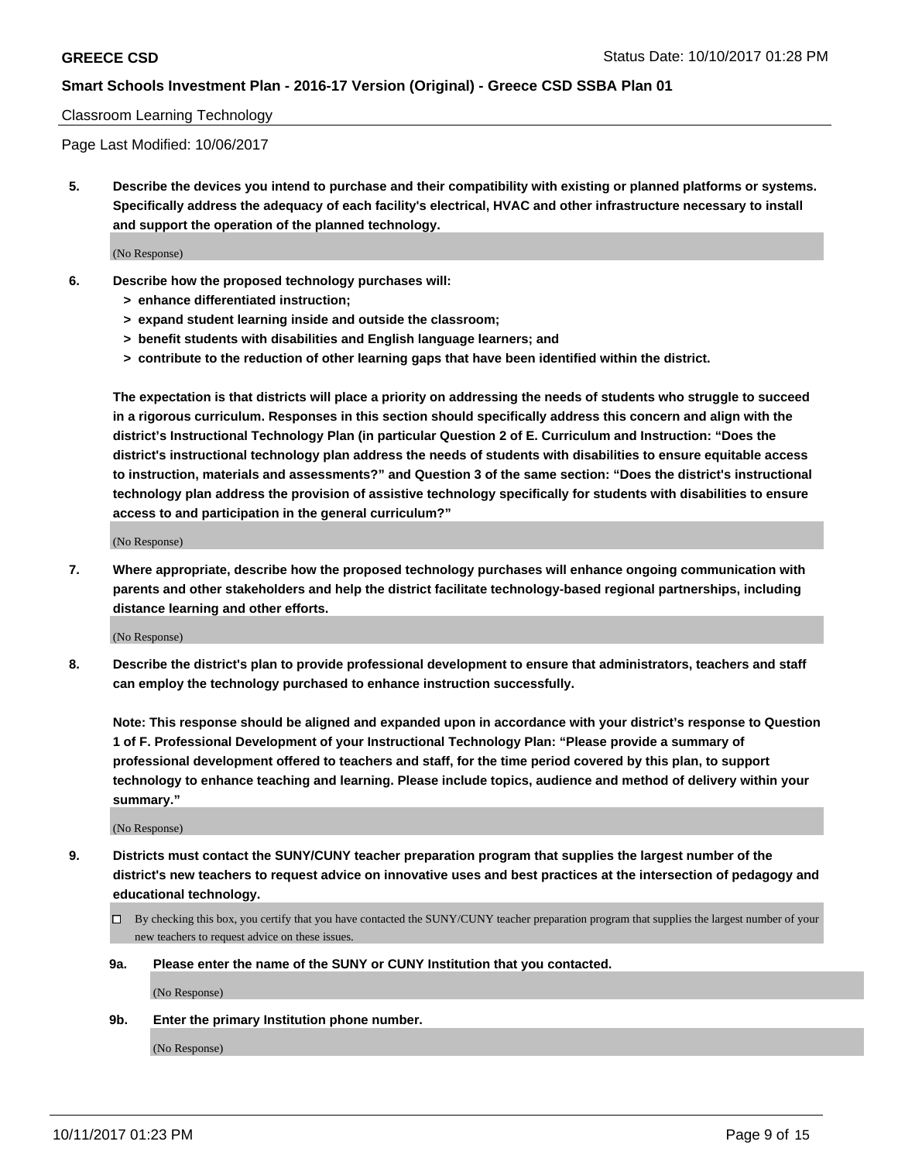#### Classroom Learning Technology

Page Last Modified: 10/06/2017

**5. Describe the devices you intend to purchase and their compatibility with existing or planned platforms or systems. Specifically address the adequacy of each facility's electrical, HVAC and other infrastructure necessary to install and support the operation of the planned technology.**

(No Response)

- **6. Describe how the proposed technology purchases will:**
	- **> enhance differentiated instruction;**
	- **> expand student learning inside and outside the classroom;**
	- **> benefit students with disabilities and English language learners; and**
	- **> contribute to the reduction of other learning gaps that have been identified within the district.**

**The expectation is that districts will place a priority on addressing the needs of students who struggle to succeed in a rigorous curriculum. Responses in this section should specifically address this concern and align with the district's Instructional Technology Plan (in particular Question 2 of E. Curriculum and Instruction: "Does the district's instructional technology plan address the needs of students with disabilities to ensure equitable access to instruction, materials and assessments?" and Question 3 of the same section: "Does the district's instructional technology plan address the provision of assistive technology specifically for students with disabilities to ensure access to and participation in the general curriculum?"**

(No Response)

**7. Where appropriate, describe how the proposed technology purchases will enhance ongoing communication with parents and other stakeholders and help the district facilitate technology-based regional partnerships, including distance learning and other efforts.**

(No Response)

**8. Describe the district's plan to provide professional development to ensure that administrators, teachers and staff can employ the technology purchased to enhance instruction successfully.**

**Note: This response should be aligned and expanded upon in accordance with your district's response to Question 1 of F. Professional Development of your Instructional Technology Plan: "Please provide a summary of professional development offered to teachers and staff, for the time period covered by this plan, to support technology to enhance teaching and learning. Please include topics, audience and method of delivery within your summary."**

(No Response)

- **9. Districts must contact the SUNY/CUNY teacher preparation program that supplies the largest number of the district's new teachers to request advice on innovative uses and best practices at the intersection of pedagogy and educational technology.**
	- By checking this box, you certify that you have contacted the SUNY/CUNY teacher preparation program that supplies the largest number of your new teachers to request advice on these issues.
	- **9a. Please enter the name of the SUNY or CUNY Institution that you contacted.**

(No Response)

**9b. Enter the primary Institution phone number.**

(No Response)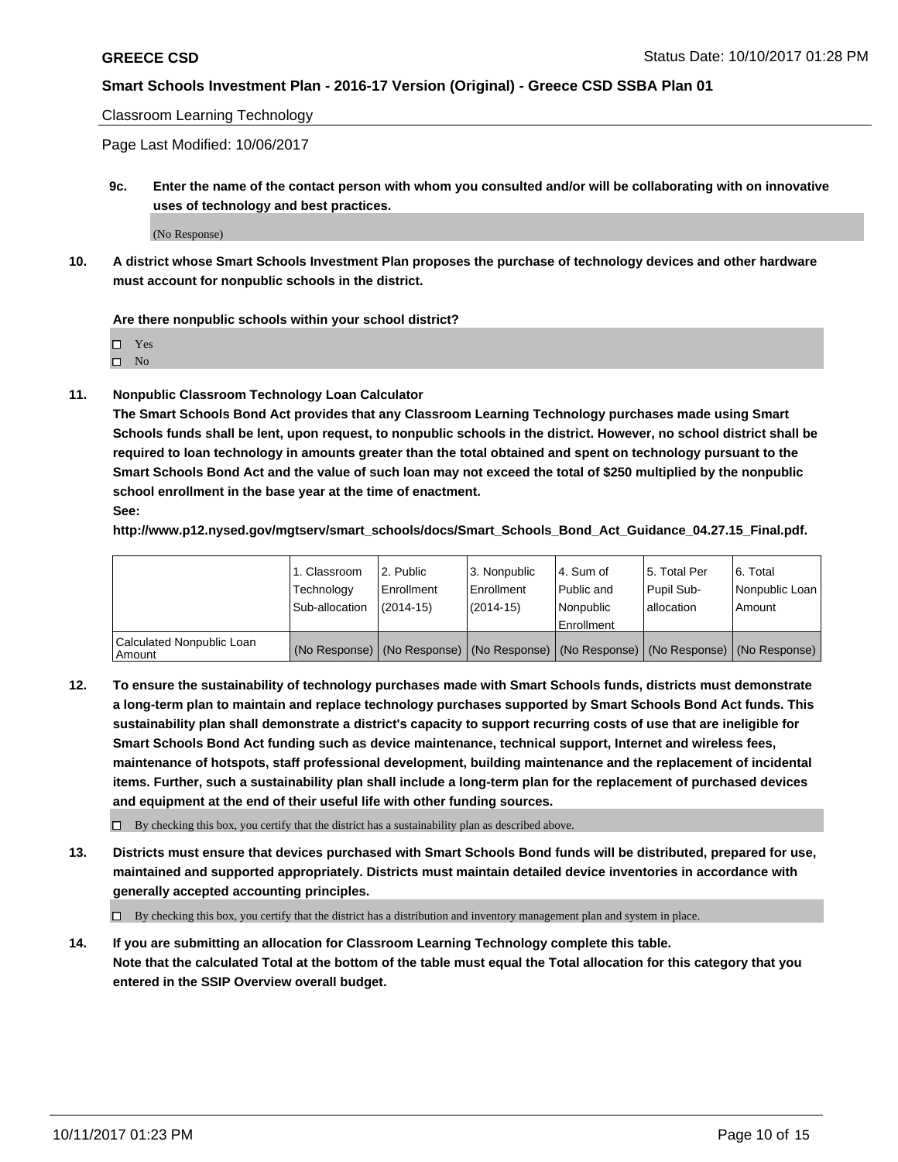Classroom Learning Technology

Page Last Modified: 10/06/2017

**9c. Enter the name of the contact person with whom you consulted and/or will be collaborating with on innovative uses of technology and best practices.**

(No Response)

**10. A district whose Smart Schools Investment Plan proposes the purchase of technology devices and other hardware must account for nonpublic schools in the district.**

**Are there nonpublic schools within your school district?**

Yes

 $\square$  No

**11. Nonpublic Classroom Technology Loan Calculator**

**The Smart Schools Bond Act provides that any Classroom Learning Technology purchases made using Smart Schools funds shall be lent, upon request, to nonpublic schools in the district. However, no school district shall be required to loan technology in amounts greater than the total obtained and spent on technology pursuant to the Smart Schools Bond Act and the value of such loan may not exceed the total of \$250 multiplied by the nonpublic school enrollment in the base year at the time of enactment.**

**See:**

**http://www.p12.nysed.gov/mgtserv/smart\_schools/docs/Smart\_Schools\_Bond\_Act\_Guidance\_04.27.15\_Final.pdf.**

|                                       | 1. Classroom   | l 2. Public   | 3. Nonpublic | l 4. Sum of | 15. Total Per                                                                                 | 6. Total       |
|---------------------------------------|----------------|---------------|--------------|-------------|-----------------------------------------------------------------------------------------------|----------------|
|                                       | Technology     | Enrollment    | Enrollment   | Public and  | Pupil Sub-                                                                                    | Nonpublic Loan |
|                                       | Sub-allocation | $(2014 - 15)$ | $(2014-15)$  | l Nonpublic | allocation                                                                                    | Amount         |
|                                       |                |               |              | Enrollment  |                                                                                               |                |
| Calculated Nonpublic Loan<br>  Amount |                |               |              |             | (No Response)   (No Response)   (No Response)   (No Response)   (No Response)   (No Response) |                |

**12. To ensure the sustainability of technology purchases made with Smart Schools funds, districts must demonstrate a long-term plan to maintain and replace technology purchases supported by Smart Schools Bond Act funds. This sustainability plan shall demonstrate a district's capacity to support recurring costs of use that are ineligible for Smart Schools Bond Act funding such as device maintenance, technical support, Internet and wireless fees, maintenance of hotspots, staff professional development, building maintenance and the replacement of incidental items. Further, such a sustainability plan shall include a long-term plan for the replacement of purchased devices and equipment at the end of their useful life with other funding sources.**

 $\Box$  By checking this box, you certify that the district has a sustainability plan as described above.

**13. Districts must ensure that devices purchased with Smart Schools Bond funds will be distributed, prepared for use, maintained and supported appropriately. Districts must maintain detailed device inventories in accordance with generally accepted accounting principles.**

By checking this box, you certify that the district has a distribution and inventory management plan and system in place.

**14. If you are submitting an allocation for Classroom Learning Technology complete this table. Note that the calculated Total at the bottom of the table must equal the Total allocation for this category that you entered in the SSIP Overview overall budget.**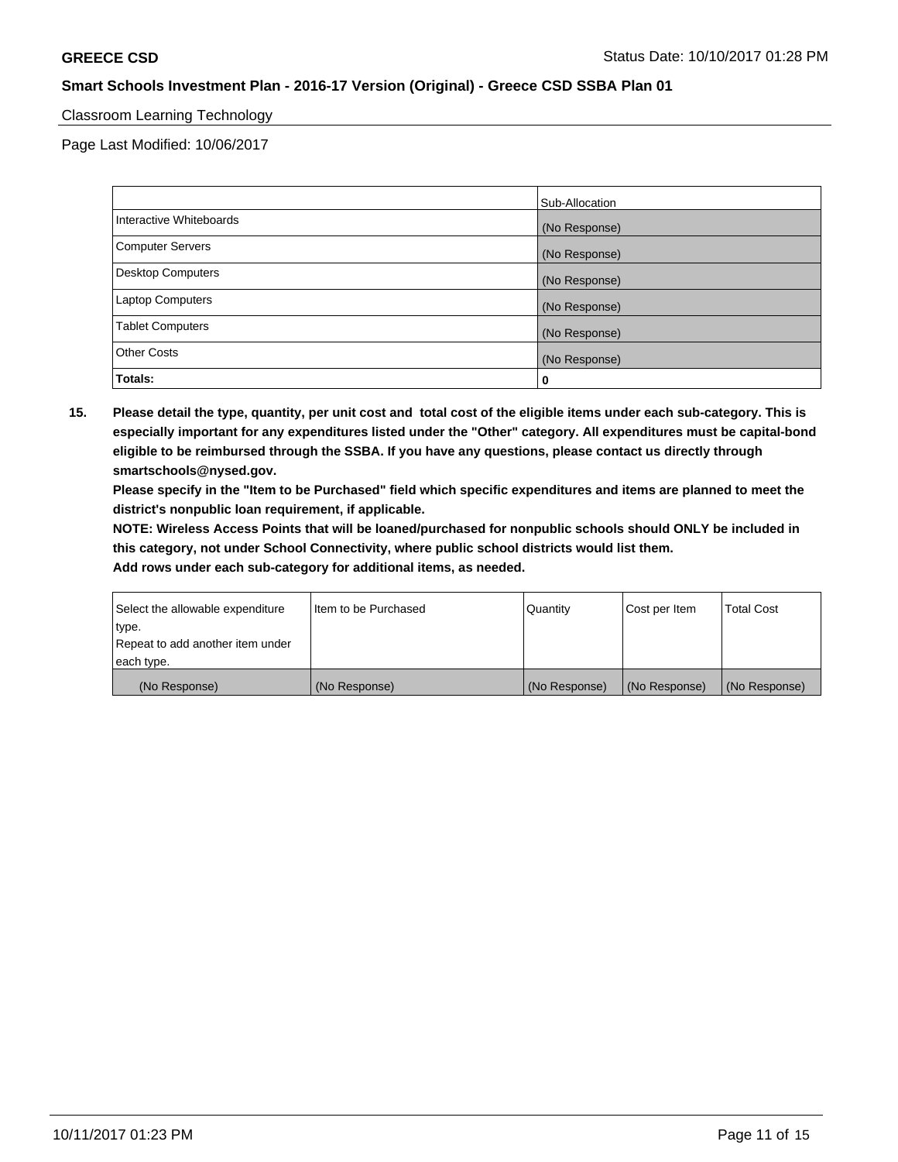### Classroom Learning Technology

Page Last Modified: 10/06/2017

|                         | Sub-Allocation |
|-------------------------|----------------|
| Interactive Whiteboards | (No Response)  |
| Computer Servers        | (No Response)  |
| Desktop Computers       | (No Response)  |
| Laptop Computers        | (No Response)  |
| <b>Tablet Computers</b> | (No Response)  |
| <b>Other Costs</b>      | (No Response)  |
| Totals:                 | 0              |

**15. Please detail the type, quantity, per unit cost and total cost of the eligible items under each sub-category. This is especially important for any expenditures listed under the "Other" category. All expenditures must be capital-bond eligible to be reimbursed through the SSBA. If you have any questions, please contact us directly through smartschools@nysed.gov.**

**Please specify in the "Item to be Purchased" field which specific expenditures and items are planned to meet the district's nonpublic loan requirement, if applicable.**

**NOTE: Wireless Access Points that will be loaned/purchased for nonpublic schools should ONLY be included in this category, not under School Connectivity, where public school districts would list them.**

| Select the allowable expenditure | Iltem to be Purchased | Quantity      | Cost per Item | <b>Total Cost</b> |
|----------------------------------|-----------------------|---------------|---------------|-------------------|
| type.                            |                       |               |               |                   |
| Repeat to add another item under |                       |               |               |                   |
| each type.                       |                       |               |               |                   |
| (No Response)                    | (No Response)         | (No Response) | (No Response) | (No Response)     |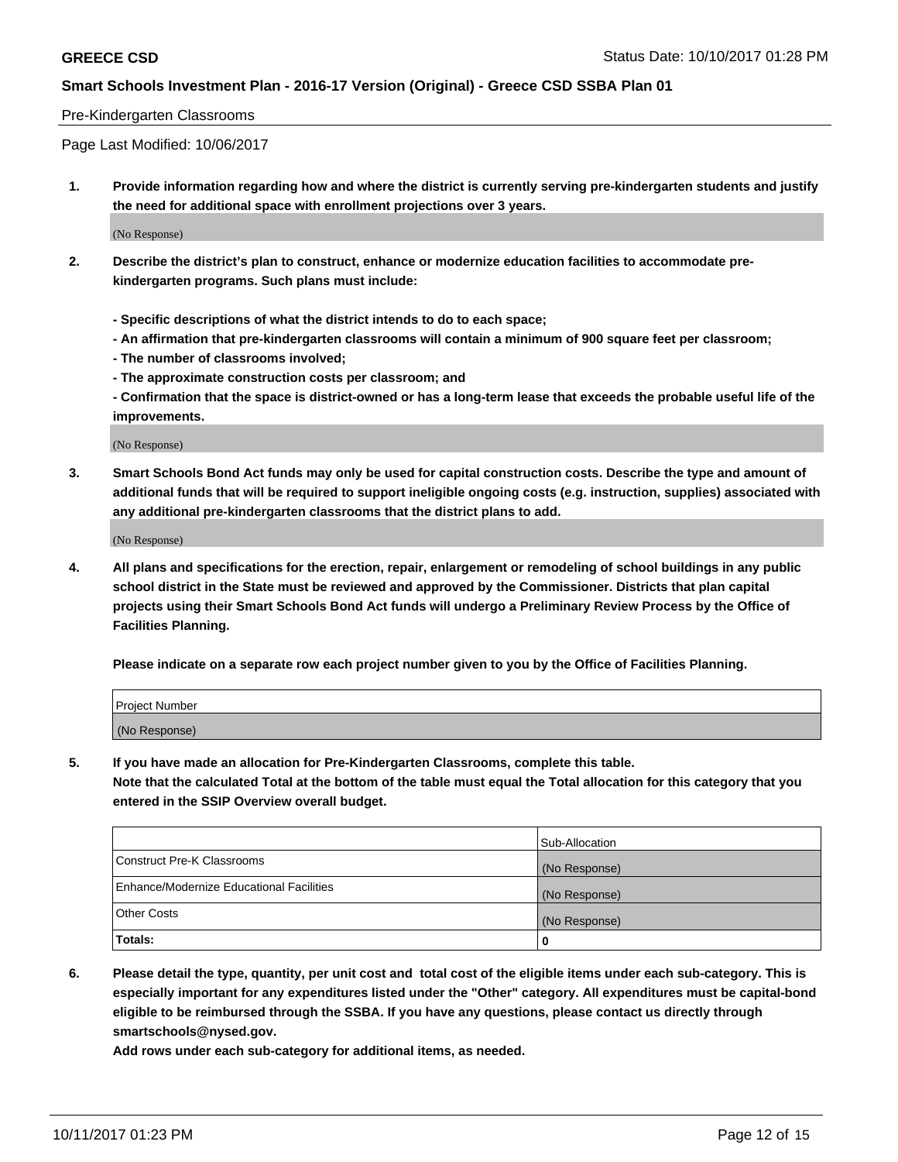#### Pre-Kindergarten Classrooms

Page Last Modified: 10/06/2017

**1. Provide information regarding how and where the district is currently serving pre-kindergarten students and justify the need for additional space with enrollment projections over 3 years.**

(No Response)

- **2. Describe the district's plan to construct, enhance or modernize education facilities to accommodate prekindergarten programs. Such plans must include:**
	- **Specific descriptions of what the district intends to do to each space;**
	- **An affirmation that pre-kindergarten classrooms will contain a minimum of 900 square feet per classroom;**
	- **The number of classrooms involved;**
	- **The approximate construction costs per classroom; and**
	- **Confirmation that the space is district-owned or has a long-term lease that exceeds the probable useful life of the improvements.**

(No Response)

**3. Smart Schools Bond Act funds may only be used for capital construction costs. Describe the type and amount of additional funds that will be required to support ineligible ongoing costs (e.g. instruction, supplies) associated with any additional pre-kindergarten classrooms that the district plans to add.**

(No Response)

**4. All plans and specifications for the erection, repair, enlargement or remodeling of school buildings in any public school district in the State must be reviewed and approved by the Commissioner. Districts that plan capital projects using their Smart Schools Bond Act funds will undergo a Preliminary Review Process by the Office of Facilities Planning.**

**Please indicate on a separate row each project number given to you by the Office of Facilities Planning.**

| Project Number |  |
|----------------|--|
| (No Response)  |  |

**5. If you have made an allocation for Pre-Kindergarten Classrooms, complete this table.**

**Note that the calculated Total at the bottom of the table must equal the Total allocation for this category that you entered in the SSIP Overview overall budget.**

|                                          | Sub-Allocation |
|------------------------------------------|----------------|
| Construct Pre-K Classrooms               | (No Response)  |
| Enhance/Modernize Educational Facilities | (No Response)  |
| <b>Other Costs</b>                       | (No Response)  |
| Totals:                                  | 0              |

**6. Please detail the type, quantity, per unit cost and total cost of the eligible items under each sub-category. This is especially important for any expenditures listed under the "Other" category. All expenditures must be capital-bond eligible to be reimbursed through the SSBA. If you have any questions, please contact us directly through smartschools@nysed.gov.**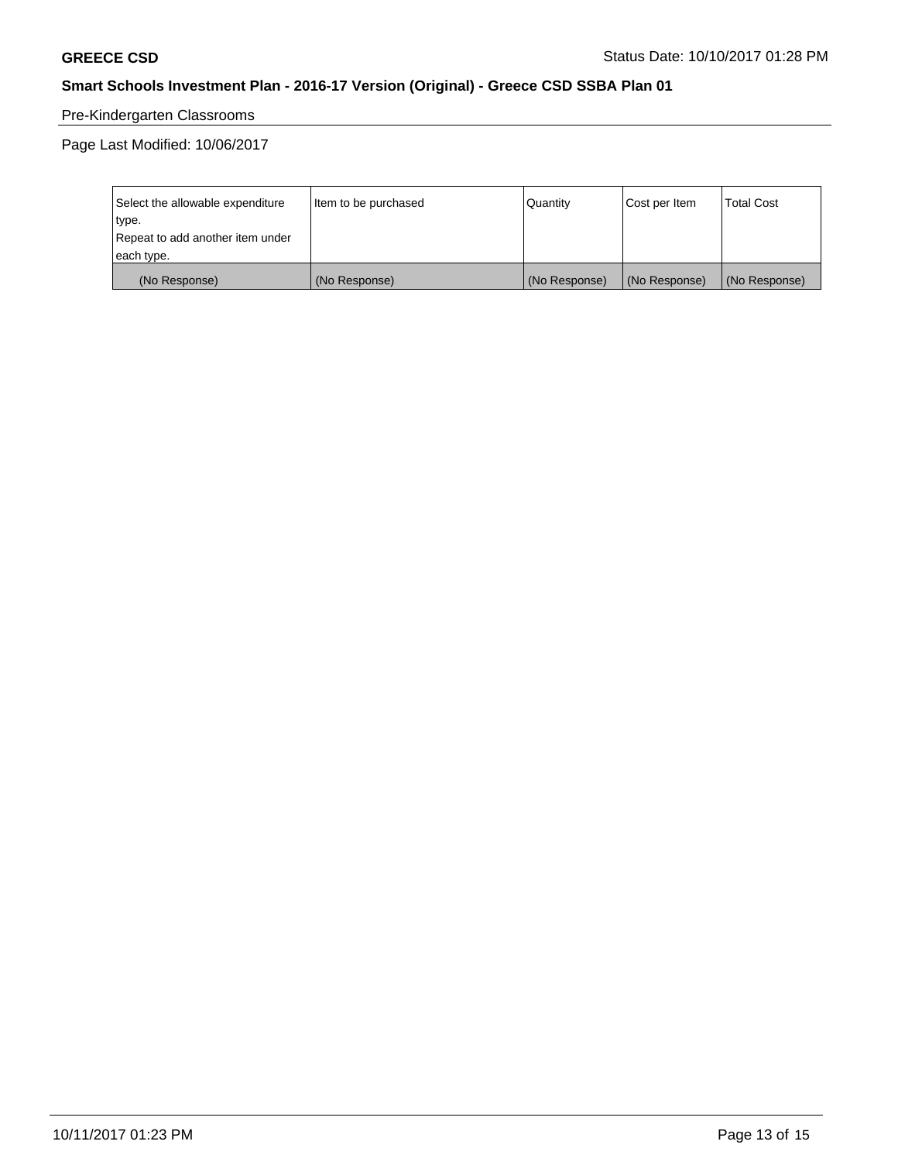# Pre-Kindergarten Classrooms

Page Last Modified: 10/06/2017

| Select the allowable expenditure | Item to be purchased | Quantity      | Cost per Item | <b>Total Cost</b> |
|----------------------------------|----------------------|---------------|---------------|-------------------|
| type.                            |                      |               |               |                   |
| Repeat to add another item under |                      |               |               |                   |
| each type.                       |                      |               |               |                   |
| (No Response)                    | (No Response)        | (No Response) | (No Response) | (No Response)     |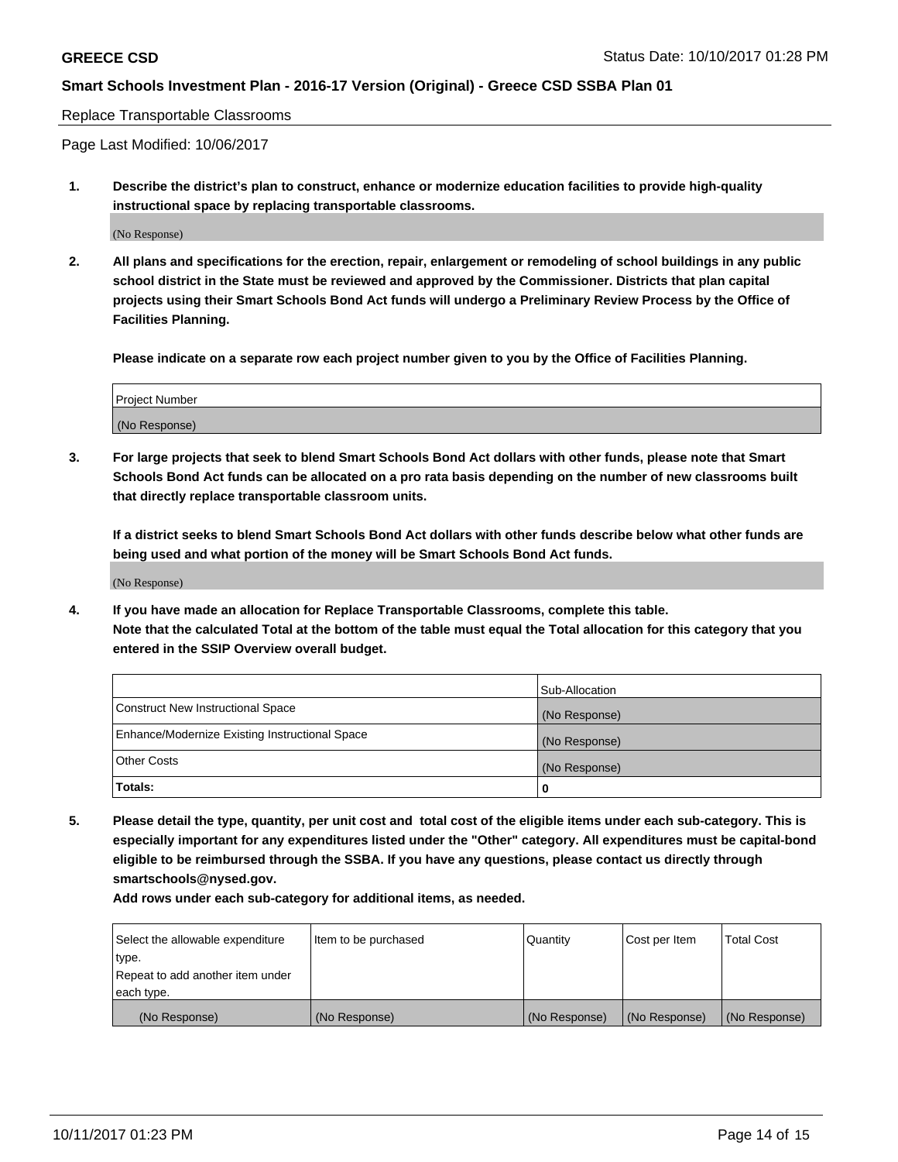#### Replace Transportable Classrooms

Page Last Modified: 10/06/2017

**1. Describe the district's plan to construct, enhance or modernize education facilities to provide high-quality instructional space by replacing transportable classrooms.**

(No Response)

**2. All plans and specifications for the erection, repair, enlargement or remodeling of school buildings in any public school district in the State must be reviewed and approved by the Commissioner. Districts that plan capital projects using their Smart Schools Bond Act funds will undergo a Preliminary Review Process by the Office of Facilities Planning.**

**Please indicate on a separate row each project number given to you by the Office of Facilities Planning.**

| <b>Project Number</b> |  |
|-----------------------|--|
| (No Response)         |  |

**3. For large projects that seek to blend Smart Schools Bond Act dollars with other funds, please note that Smart Schools Bond Act funds can be allocated on a pro rata basis depending on the number of new classrooms built that directly replace transportable classroom units.**

**If a district seeks to blend Smart Schools Bond Act dollars with other funds describe below what other funds are being used and what portion of the money will be Smart Schools Bond Act funds.**

(No Response)

**4. If you have made an allocation for Replace Transportable Classrooms, complete this table. Note that the calculated Total at the bottom of the table must equal the Total allocation for this category that you entered in the SSIP Overview overall budget.**

|                                                | Sub-Allocation |
|------------------------------------------------|----------------|
| Construct New Instructional Space              | (No Response)  |
| Enhance/Modernize Existing Instructional Space | (No Response)  |
| <b>Other Costs</b>                             | (No Response)  |
| Totals:                                        | 0              |

**5. Please detail the type, quantity, per unit cost and total cost of the eligible items under each sub-category. This is especially important for any expenditures listed under the "Other" category. All expenditures must be capital-bond eligible to be reimbursed through the SSBA. If you have any questions, please contact us directly through smartschools@nysed.gov.**

| Select the allowable expenditure | Item to be purchased | Quantity      | Cost per Item | <b>Total Cost</b> |
|----------------------------------|----------------------|---------------|---------------|-------------------|
| type.                            |                      |               |               |                   |
| Repeat to add another item under |                      |               |               |                   |
| each type.                       |                      |               |               |                   |
| (No Response)                    | (No Response)        | (No Response) | (No Response) | (No Response)     |